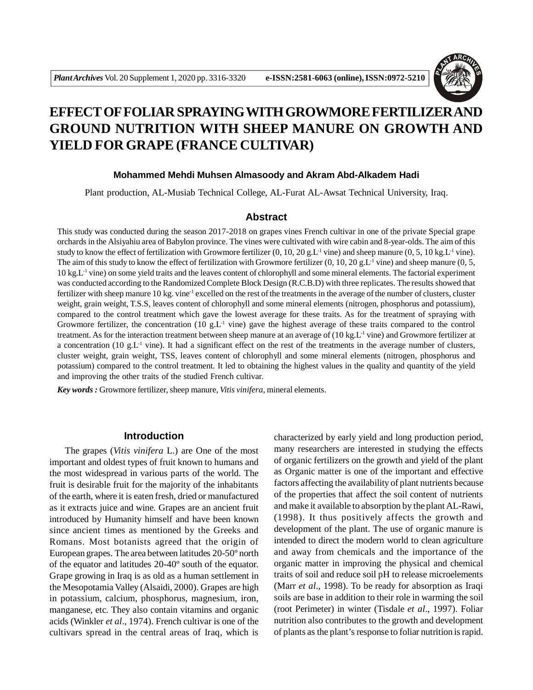

# **EFFECT OF FOLIAR SPRAYINGWITH GROWMORE FERTILIZER AND GROUND NUTRITION WITH SHEEP MANURE ON GROWTH AND YIELD FOR GRAPE (FRANCE CULTIVAR)**

#### **Mohammed Mehdi Muhsen Almasoody and Akram Abd-Alkadem Hadi**

Plant production, AL-Musiab Technical College, AL-Furat AL-Awsat Technical University, Iraq.

#### **Abstract**

This study was conducted during the season 2017-2018 on grapes vines French cultivar in one of the private Special grape orchards in the Alsiyahiu area of Babylon province. The vines were cultivated with wire cabin and 8-year-olds. The aim of this study to know the effect of fertilization with Growmore fertilizer  $(0, 10, 20 \text{ g.L}^{-1}$  vine) and sheep manure  $(0, 5, 10 \text{ kg.L}^{-1}$  vine). The aim of this study to know the effect of fertilization with Growmore fertilizer  $(0, 10, 20 \text{ g.L}^{-1}$  vine) and sheep manure  $(0, 5, 10)$  $10 \text{ kg}$ .L<sup>1</sup> vine) on some yield traits and the leaves content of chlorophyll and some mineral elements. The factorial experiment was conducted according to the Randomized Complete Block Design (R.C.B.D) with three replicates. The results showed that fertilizer with sheep manure 10 kg. vine-1 excelled on the rest of the treatments in the average of the number of clusters, cluster weight, grain weight, T.S.S, leaves content of chlorophyll and some mineral elements (nitrogen, phosphorus and potassium), compared to the control treatment which gave the lowest average for these traits. As for the treatment of spraying with Growmore fertilizer, the concentration (10 g.L<sup>-1</sup> vine) gave the highest average of these traits compared to the control treatment. As for the interaction treatment between sheep manure at an average of (10 kg.L<sup>-1</sup> vine) and Growmore fertilizer at a concentration (10 g.L<sup>-1</sup> vine). It had a significant effect on the rest of the treatments in the average number of clusters, cluster weight, grain weight, TSS, leaves content of chlorophyll and some mineral elements (nitrogen, phosphorus and potassium) compared to the control treatment. It led to obtaining the highest values in the quality and quantity of the yield and improving the other traits of the studied French cultivar.

*Key words :* Growmore fertilizer, sheep manure, *Vitis vinifera*, mineral elements.

#### **Introduction**

The grapes (*Vitis vinifera* L.) are One of the most important and oldest types of fruit known to humans and the most widespread in various parts of the world. The fruit is desirable fruit for the majority of the inhabitants of the earth, where it is eaten fresh, dried or manufactured as it extracts juice and wine. Grapes are an ancient fruit introduced by Humanity himself and have been known since ancient times as mentioned by the Greeks and Romans. Most botanists agreed that the origin of European grapes. The area between latitudes 20-50º north of the equator and latitudes 20-40º south of the equator. Grape growing in Iraq is as old as a human settlement in the Mesopotamia Valley (Alsaidi, 2000). Grapes are high in potassium, calcium, phosphorus, magnesium, iron, manganese, etc. They also contain vitamins and organic acids (Winkler *et al*., 1974). French cultivar is one of the cultivars spread in the central areas of Iraq, which is

characterized by early yield and long production period, many researchers are interested in studying the effects of organic fertilizers on the growth and yield of the plant as Organic matter is one of the important and effective factors affecting the availability of plant nutrients because of the properties that affect the soil content of nutrients and make it available to absorption by the plant AL-Rawi, (1998). It thus positively affects the growth and development of the plant. The use of organic manure is intended to direct the modern world to clean agriculture and away from chemicals and the importance of the organic matter in improving the physical and chemical traits of soil and reduce soil pH to release microelements (Marr *et al*., 1998). To be ready for absorption as Iraqi soils are base in addition to their role in warming the soil (root Perimeter) in winter (Tisdale *et al*., 1997). Foliar nutrition also contributes to the growth and development of plants as the plant's response to foliar nutrition is rapid.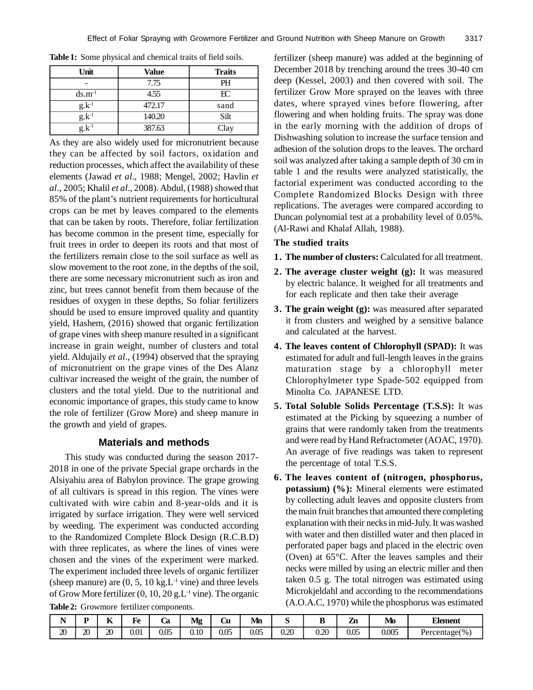| Unit              | Value  | <b>Traits</b> |  |  |  |  |
|-------------------|--------|---------------|--|--|--|--|
|                   | 7.75   | PH            |  |  |  |  |
| $ds.m^{-1}$       | 4.55   | E             |  |  |  |  |
| $g_{\cdot}k^{-1}$ | 472.17 | sand          |  |  |  |  |
| $g.k^{-1}$        | 140.20 | Silt          |  |  |  |  |
| $g_{\cdot}k^{-1}$ | 387.63 | Clay          |  |  |  |  |

**Table 1:** Some physical and chemical traits of field soils.

As they are also widely used for micronutrient because they can be affected by soil factors, oxidation and reduction processes, which affect the availability of these elements (Jawad *et al*., 1988; Mengel, 2002; Havlin *et al*., 2005; Khalil *et al*., 2008). Abdul, (1988) showed that 85% of the plant's nutrient requirements for horticultural crops can be met by leaves compared to the elements that can be taken by roots. Therefore, foliar fertilization has become common in the present time, especially for fruit trees in order to deepen its roots and that most of the fertilizers remain close to the soil surface as well as slow movement to the root zone, in the depths of the soil, there are some necessary micronutrient such as iron and zinc, but trees cannot benefit from them because of the residues of oxygen in these depths, So foliar fertilizers should be used to ensure improved quality and quantity yield, Hashem, (2016) showed that organic fertilization of grape vines with sheep manure resulted in a significant increase in grain weight, number of clusters and total yield. Aldujaily *et al*., (1994) observed that the spraying of micronutrient on the grape vines of the Des Alanz cultivar increased the weight of the grain, the number of clusters and the total yield. Due to the nutritional and economic importance of grapes, this study came to know the role of fertilizer (Grow More) and sheep manure in the growth and yield of grapes.

#### **Materials and methods**

This study was conducted during the season 2017- 2018 in one of the private Special grape orchards in the Alsiyahiu area of Babylon province. The grape growing of all cultivars is spread in this region. The vines were cultivated with wire cabin and 8-year-olds and it is irrigated by surface irrigation. They were well serviced by weeding. The experiment was conducted according to the Randomized Complete Block Design (R.C.B.D) with three replicates, as where the lines of vines were chosen and the vines of the experiment were marked. The experiment included three levels of organic fertilizer (sheep manure) are  $(0, 5, 10 \text{ kg} \cdot \text{L}^{-1} \text{ vine})$  and three levels of Grow More fertilizer  $(0, 10, 20 \text{ g.L}^{-1} \text{ vine})$ . The organic **Table 2:** Growmore fertilizer components.

fertilizer (sheep manure) was added at the beginning of December 2018 by trenching around the trees 30-40 cm deep (Kessel, 2003) and then covered with soil. The fertilizer Grow More sprayed on the leaves with three dates, where sprayed vines before flowering, after flowering and when holding fruits. The spray was done in the early morning with the addition of drops of Dishwashing solution to increase the surface tension and adhesion of the solution drops to the leaves. The orchard soil was analyzed after taking a sample depth of 30 cm in table 1 and the results were analyzed statistically, the factorial experiment was conducted according to the Complete Randomized Blocks Design with three replications. The averages were compared according to Duncan polynomial test at a probability level of 0.05%. (Al-Rawi and Khalaf Allah, 1988).

#### **The studied traits**

- **1. The number of clusters:** Calculated for all treatment.
- **2. The average cluster weight (g):** It was measured by electric balance. It weighed for all treatments and for each replicate and then take their average
- **3. The grain weight (g):** was measured after separated it from clusters and weighed by a sensitive balance and calculated at the harvest.
- **4. The leaves content of Chlorophyll (SPAD):** It was estimated for adult and full-length leaves in the grains maturation stage by a chlorophyll meter Chlorophylmeter type Spade-502 equipped from Minolta Co. JAPANESE LTD.
- **5. Total Soluble Solids Percentage (T.S.S):** It was estimated at the Picking by squeezing a number of grains that were randomly taken from the treatments and were read by Hand Refractometer (AOAC, 1970). An average of five readings was taken to represent the percentage of total T.S.S.
- **6. The leaves content of (nitrogen, phosphorus, potassium) (%):** Mineral elements were estimated by collecting adult leaves and opposite clusters from the main fruit branches that amounted there completing explanation with their necks in mid-July. It was washed with water and then distilled water and then placed in perforated paper bags and placed in the electric oven (Oven) at 65°C. After the leaves samples and their necks were milled by using an electric miller and then taken 0.5 g. The total nitrogen was estimated using Microkjeldahl and according to the recommendations (A.O.A.C, 1970) while the phosphorus was estimated

| - -<br>. . |         | --<br>n. | ∽<br>Fe | Uα   | Мg   | ~<br>U | $\blacksquare$<br>Mn | ~    | --          | --<br>,,<br>44 | Mo    | <b>Element</b>    |
|------------|---------|----------|---------|------|------|--------|----------------------|------|-------------|----------------|-------|-------------------|
| ഹ<br>ΔU    | ഹ<br>Д, | ഹ<br>ΖU  | 0.01    | 0.05 | 0.10 | 0.05   | 0.05                 | 0.20 | 020<br>U.ZU | 0.05           | 0.005 | Percentage $(\%)$ |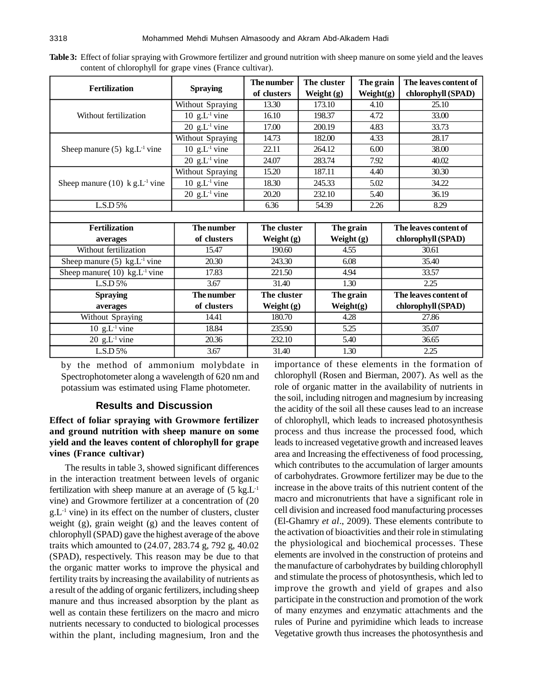| Table 3: Effect of foliar spraying with Growmore fertilizer and ground nutrition with sheep manure on some yield and the leaves |  |  |  |  |  |
|---------------------------------------------------------------------------------------------------------------------------------|--|--|--|--|--|
| content of chlorophyll for grape vines (France cultivar).                                                                       |  |  |  |  |  |

|                                              |                                        | The number   |              | The cluster  | The grain    |                       | The leaves content of |  |
|----------------------------------------------|----------------------------------------|--------------|--------------|--------------|--------------|-----------------------|-----------------------|--|
| <b>Fertilization</b>                         | <b>Spraying</b>                        | of clusters  |              | Weight (g)   | Weight $(g)$ |                       | chlorophyll (SPAD)    |  |
|                                              | Without Spraying                       | 13.30        |              | 173.10       | 4.10         |                       | 25.10                 |  |
| Without fertilization                        | $\overline{10}$ g.L <sup>-1</sup> vine | 16.10        |              | 198.37       | 4.72         |                       | 33.00                 |  |
|                                              | 20 $g.L^{-1}$ vine                     | 17.00        |              | 200.19       | 4.83         |                       | 33.73                 |  |
|                                              | <b>Without Spraying</b>                | 14.73        | 182.00       |              | 4.33         |                       | 28.17                 |  |
| Sheep manure $(5)$ kg.L <sup>-1</sup> vine   | 10 $g.L^{-1}$ vine                     | 22.11        |              | 264.12       | 6.00         |                       | 38.00                 |  |
|                                              | 20 $g.L^{-1}$ vine                     | 24.07        |              | 283.74       | 7.92         |                       | 40.02                 |  |
|                                              | <b>Without Spraying</b>                | 15.20        |              | 187.11       | 4.40         |                       | 30.30                 |  |
| Sheep manure (10) $k g.L^{-1}$ vine          | 10 $g.L^{-1}$ vine                     | 18.30        |              | 245.33       | 5.02         |                       | 34.22                 |  |
|                                              | 20 $g.L^{-1}$ vine                     | 20.20        |              | 232.10       | 5.40         |                       | 36.19                 |  |
| L.S.D 5%                                     |                                        | 6.36         |              | 54.39        |              | 2.26                  | 8.29                  |  |
|                                              |                                        |              |              |              |              |                       |                       |  |
| <b>Fertilization</b>                         | The number                             | The cluster  |              | The grain    |              |                       | The leaves content of |  |
| averages                                     | of clusters                            | Weight $(g)$ |              | Weight $(g)$ |              |                       | chlorophyll (SPAD)    |  |
| Without fertilization                        | 15.47                                  | 190.60       |              | 4.55         |              |                       | 30.61                 |  |
| Sheep manure $(5)$ kg.L <sup>-1</sup> vine   | 20.30                                  | 243.30       |              | 6.08         |              | 35.40                 |                       |  |
| Sheep manure( $10$ ) kg.L <sup>-1</sup> vine | 17.83                                  | 221.50       |              | 4.94         |              | 33.57                 |                       |  |
| L.S.D 5%                                     | 3.67                                   | 31.40        |              |              | 1.30         |                       | 2.25                  |  |
| <b>Spraying</b>                              | The number                             | The cluster  |              | The grain    |              | The leaves content of |                       |  |
| averages                                     | of clusters                            | Weight $(g)$ | Weight $(g)$ |              |              |                       | chlorophyll (SPAD)    |  |
| Without Spraying                             | 14.41                                  | 180.70       |              |              | 4.28         |                       | 27.86                 |  |
| $10 \text{ g.L}^{-1}$ vine                   | 18.84                                  | 235.90       |              |              | 5.25         |                       | 35.07                 |  |
| 20 $g.L^{-1}$ vine                           | 20.36                                  | 232.10       |              | 5.40         |              |                       | 36.65                 |  |
| LS.D 5%                                      | 3.67                                   | 31.40        |              | 1.30         |              | 2.25                  |                       |  |

by the method of ammonium molybdate in Spectrophotometer along a wavelength of 620 nm and potassium was estimated using Flame photometer.

#### **Results and Discussion**

## **Effect of foliar spraying with Growmore fertilizer and ground nutrition with sheep manure on some yield and the leaves content of chlorophyll for grape vines (France cultivar)**

The results in table 3, showed significant differences in the interaction treatment between levels of organic fertilization with sheep manure at an average of  $(5 \text{ kg.L}^{-1})$ vine) and Growmore fertilizer at a concentration of (20  $g.L^{-1}$  vine) in its effect on the number of clusters, cluster weight (g), grain weight (g) and the leaves content of chlorophyll (SPAD) gave the highest average of the above traits which amounted to (24.07, 283.74 g, 792 g, 40.02 (SPAD), respectively. This reason may be due to that the organic matter works to improve the physical and fertility traits by increasing the availability of nutrients as a result of the adding of organic fertilizers, including sheep manure and thus increased absorption by the plant as well as contain these fertilizers on the macro and micro nutrients necessary to conducted to biological processes within the plant, including magnesium, Iron and the

importance of these elements in the formation of chlorophyll (Rosen and Bierman, 2007). As well as the role of organic matter in the availability of nutrients in the soil, including nitrogen and magnesium by increasing the acidity of the soil all these causes lead to an increase of chlorophyll, which leads to increased photosynthesis process and thus increase the processed food, which leads to increased vegetative growth and increased leaves area and Increasing the effectiveness of food processing, which contributes to the accumulation of larger amounts of carbohydrates. Growmore fertilizer may be due to the increase in the above traits of this nutrient content of the macro and micronutrients that have a significant role in cell division and increased food manufacturing processes (El-Ghamry *et al*., 2009). These elements contribute to the activation of bioactivities and their role in stimulating the physiological and biochemical processes. These elements are involved in the construction of proteins and the manufacture of carbohydrates by building chlorophyll and stimulate the process of photosynthesis, which led to improve the growth and yield of grapes and also participate in the construction and promotion of the work of many enzymes and enzymatic attachments and the rules of Purine and pyrimidine which leads to increase Vegetative growth thus increases the photosynthesis and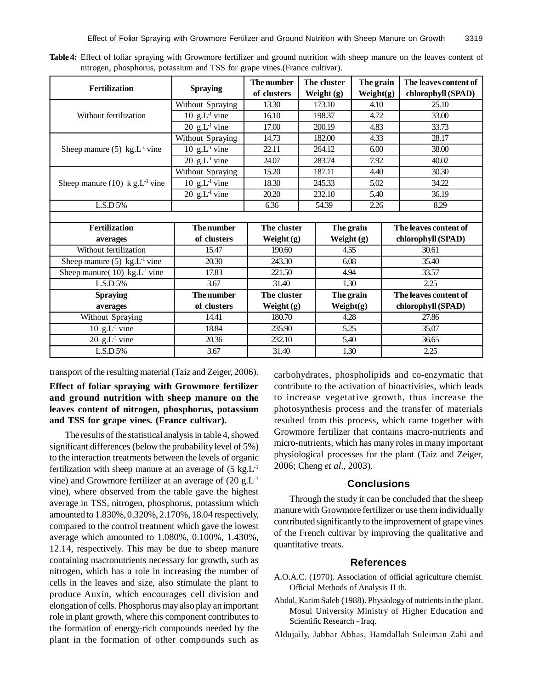|                                              |                    | The number    |              | The cluster  | The grain    |       | The leaves content of |  |
|----------------------------------------------|--------------------|---------------|--------------|--------------|--------------|-------|-----------------------|--|
| <b>Fertilization</b>                         | <b>Spraying</b>    | of clusters   |              | Weight $(g)$ | Weight $(g)$ |       | chlorophyll (SPAD)    |  |
|                                              | Without Spraying   | 13.30         |              | 173.10       | 4.10         |       | 25.10                 |  |
| Without fertilization                        | 10 $g.L^{-1}$ vine | 16.10         | 198.37       |              | 4.72         |       | 33.00                 |  |
|                                              | 20 $g.L^{-1}$ vine | 17.00         |              | 200.19       | 4.83         |       | 33.73                 |  |
|                                              | Without Spraying   | 14.73         | 182.00       |              | 4.33         |       | 28.17                 |  |
| Sheep manure $(5)$ kg.L <sup>-1</sup> vine   | 10 $g.L^{-1}$ vine | 22.11         |              | 264.12       | 6.00         |       | 38.00                 |  |
|                                              | 20 $g.L^{-1}$ vine | 24.07         |              | 283.74       | 7.92         |       | 40.02                 |  |
|                                              | Without Spraying   | 15.20         |              | 187.11       | 4.40         |       | 30.30                 |  |
| Sheep manure (10) $k g.L^{-1}$ vine          | 10 $g.L^{-1}$ vine | 18.30         |              | 245.33       | 5.02         |       | 34.22                 |  |
|                                              | 20 $g.L^{-1}$ vine | 20.20         |              | 232.10       | 5.40         |       | 36.19                 |  |
| LS.D 5%                                      |                    | 6.36<br>54.39 |              | 2.26         |              | 8.29  |                       |  |
|                                              |                    |               |              |              |              |       |                       |  |
| <b>Fertilization</b>                         | The number         | The cluster   |              | The grain    |              |       | The leaves content of |  |
| averages                                     | of clusters        | Weight $(g)$  |              | Weight $(g)$ |              |       | chlorophyll (SPAD)    |  |
| Without fertilization                        | 15.47              | 190.60        |              | 4.55         |              | 30.61 |                       |  |
| Sheep manure $(5)$ kg.L <sup>1</sup> vine    | 20.30              | 243.30        |              | 6.08         |              |       | 35.40                 |  |
| Sheep manure( $10$ ) kg.L <sup>-1</sup> vine | 17.83              | 221.50        | 4.94         |              |              | 33.57 |                       |  |
| L.S.D 5%                                     | 3.67               | 31.40         |              | 1.30         |              | 2.25  |                       |  |
| <b>Spraying</b>                              | The number         | The cluster   | The grain    |              |              |       | The leaves content of |  |
| averages                                     | of clusters        | Weight $(g)$  | Weight $(g)$ |              |              |       | chlorophyll (SPAD)    |  |
| Without Spraying                             | 14.41              |               | 4.28         |              |              |       | 27.86                 |  |
| $10 \text{ g.L}^1$ vine                      | 18.84              | 235.90        |              |              | 5.25         |       | 35.07                 |  |
| $\overline{20}$ g.L <sup>-1</sup> vine       | 20.36              | 232.10        |              | 5.40         |              |       | 36.65                 |  |
| L.S.D 5%<br>3.67                             |                    | 31.40         |              | 1.30         |              |       | 2.25                  |  |

**Table 4:** Effect of foliar spraying with Growmore fertilizer and ground nutrition with sheep manure on the leaves content of nitrogen, phosphorus, potassium and TSS for grape vines.(France cultivar).

transport of the resulting material (Taiz and Zeiger, 2006).

**Effect of foliar spraying with Growmore fertilizer and ground nutrition with sheep manure on the leaves content of nitrogen, phosphorus, potassium and TSS for grape vines. (France cultivar).**

The results of the statistical analysis in table 4, showed significant differences (below the probability level of 5%) to the interaction treatments between the levels of organic fertilization with sheep manure at an average of  $(5 \text{ kg.L}^{-1})$ vine) and Growmore fertilizer at an average of  $(20 \text{ g.L}^{-1})$ vine), where observed from the table gave the highest average in TSS, nitrogen, phosphorus, potassium which amounted to 1.830%, 0.320%, 2.170%, 18.04 respectively, compared to the control treatment which gave the lowest average which amounted to 1.080%, 0.100%, 1.430%, 12.14, respectively. This may be due to sheep manure containing macronutrients necessary for growth, such as nitrogen, which has a role in increasing the number of cells in the leaves and size, also stimulate the plant to produce Auxin, which encourages cell division and elongation of cells. Phosphorus may also play an important role in plant growth, where this component contributes to the formation of energy-rich compounds needed by the plant in the formation of other compounds such as

carbohydrates, phospholipids and co-enzymatic that contribute to the activation of bioactivities, which leads to increase vegetative growth, thus increase the photosynthesis process and the transfer of materials resulted from this process, which came together with Growmore fertilizer that contains macro-nutrients and micro-nutrients, which has many roles in many important physiological processes for the plant (Taiz and Zeiger, 2006; Cheng *et al*., 2003).

### **Conclusions**

Through the study it can be concluded that the sheep manure with Growmore fertilizer or use them individually contributed significantly to the improvement of grape vines of the French cultivar by improving the qualitative and quantitative treats.

#### **References**

- A.O.A.C. (1970). Association of official agriculture chemist. Official Methods of Analysis II th.
- Abdul, Karim Saleh (1988). Physiology of nutrients in the plant. Mosul University Ministry of Higher Education and Scientific Research - Iraq.
- Aldujaily, Jabbar Abbas, Hamdallah Suleiman Zahi and